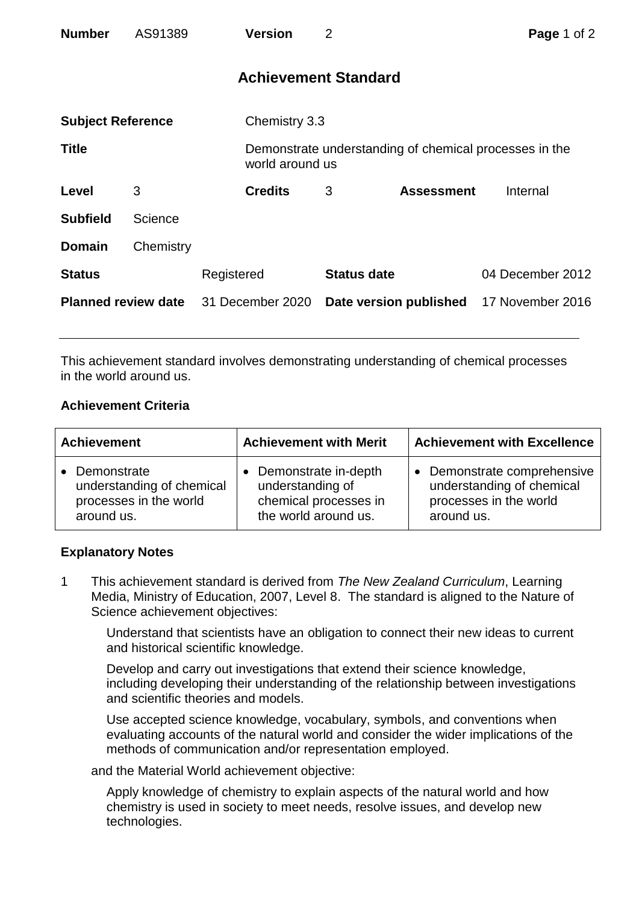| <b>Number</b>              | AS91389   |                  | <b>Version</b>              | $\overline{2}$ |                                                        | Page 1 of 2      |
|----------------------------|-----------|------------------|-----------------------------|----------------|--------------------------------------------------------|------------------|
|                            |           |                  | <b>Achievement Standard</b> |                |                                                        |                  |
| <b>Subject Reference</b>   |           |                  | Chemistry 3.3               |                |                                                        |                  |
| <b>Title</b>               |           |                  | world around us             |                | Demonstrate understanding of chemical processes in the |                  |
| Level                      | 3         |                  | <b>Credits</b>              | 3              | <b>Assessment</b>                                      | Internal         |
| <b>Subfield</b>            | Science   |                  |                             |                |                                                        |                  |
| <b>Domain</b>              | Chemistry |                  |                             |                |                                                        |                  |
| <b>Status</b>              |           | Registered       |                             |                | <b>Status date</b>                                     | 04 December 2012 |
| <b>Planned review date</b> |           | 31 December 2020 |                             |                | Date version published                                 | 17 November 2016 |

This achievement standard involves demonstrating understanding of chemical processes in the world around us.

## **Achievement Criteria**

| <b>Achievement</b>                                                                 | <b>Achievement with Merit</b>                                                               | <b>Achievement with Excellence</b>                                                                          |  |
|------------------------------------------------------------------------------------|---------------------------------------------------------------------------------------------|-------------------------------------------------------------------------------------------------------------|--|
| • Demonstrate<br>understanding of chemical<br>processes in the world<br>around us. | • Demonstrate in-depth<br>understanding of<br>chemical processes in<br>the world around us. | Demonstrate comprehensive<br>$\bullet$<br>understanding of chemical<br>processes in the world<br>around us. |  |

## **Explanatory Notes**

1 This achievement standard is derived from *The New Zealand Curriculum*, Learning Media, Ministry of Education, 2007, Level 8. The standard is aligned to the Nature of Science achievement objectives:

Understand that scientists have an obligation to connect their new ideas to current and historical scientific knowledge.

Develop and carry out investigations that extend their science knowledge, including developing their understanding of the relationship between investigations and scientific theories and models.

Use accepted science knowledge, vocabulary, symbols, and conventions when evaluating accounts of the natural world and consider the wider implications of the methods of communication and/or representation employed.

and the Material World achievement objective:

Apply knowledge of chemistry to explain aspects of the natural world and how chemistry is used in society to meet needs, resolve issues, and develop new technologies.